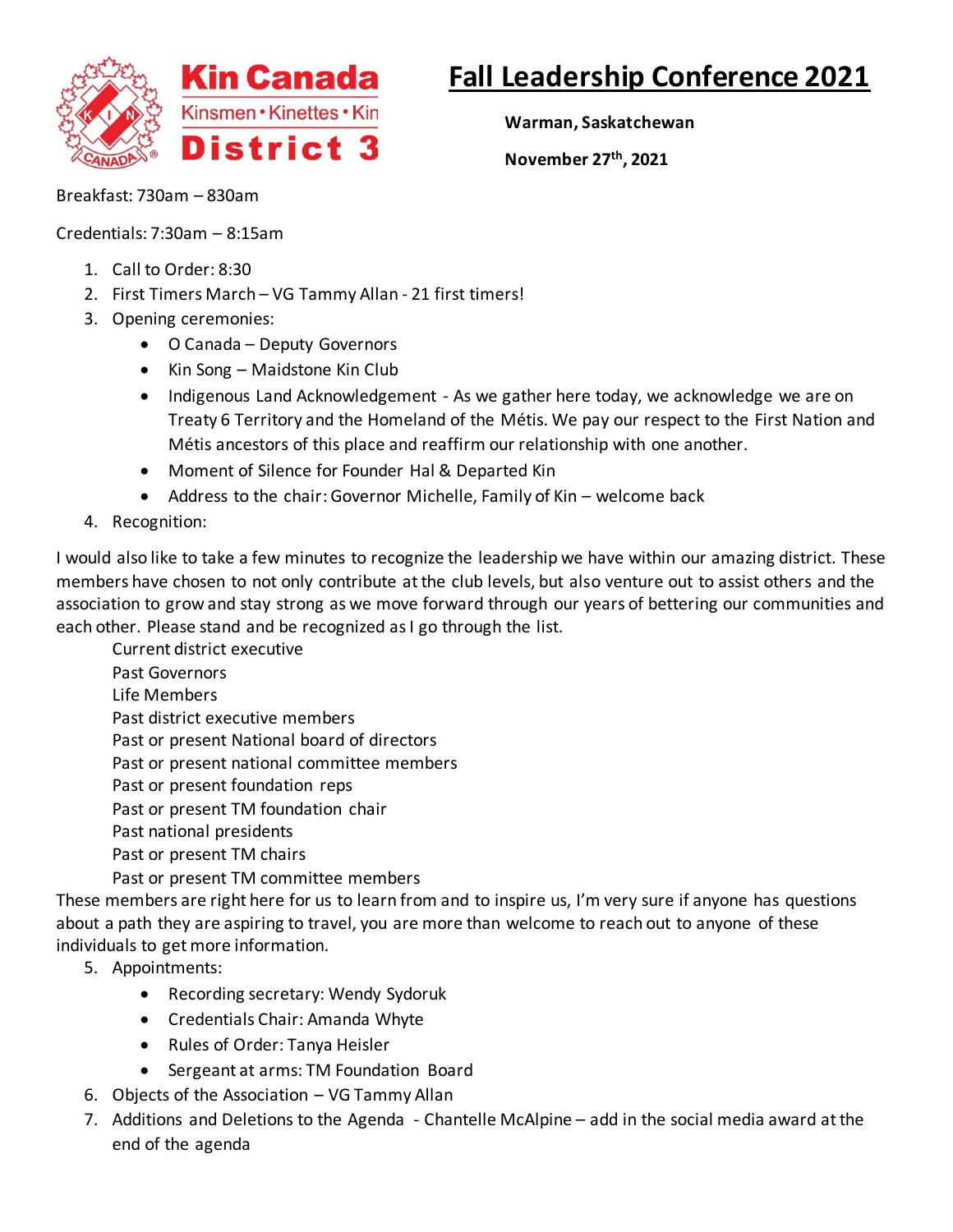

## **Fall Leadership Conference 2021**

**Warman, Saskatchewan**

**November 27th, 2021**

Breakfast: 730am – 830am

Credentials: 7:30am – 8:15am

- 1. Call to Order: 8:30
- 2. First Timers March VG Tammy Allan 21 first timers!
- 3. Opening ceremonies:
	- O Canada Deputy Governors
	- Kin Song Maidstone Kin Club
	- Indigenous Land Acknowledgement As we gather here today, we acknowledge we are on Treaty 6 Territory and the Homeland of the Métis. We pay our respect to the First Nation and Métis ancestors of this place and reaffirm our relationship with one another.
	- Moment of Silence for Founder Hal & Departed Kin
	- Address to the chair: Governor Michelle, Family of Kin welcome back
- 4. Recognition:

I would also like to take a few minutes to recognize the leadership we have within our amazing district. These members have chosen to not only contribute at the club levels, but also venture out to assist others and the association to grow and stay strong as we move forward through our years of bettering our communities and each other. Please stand and be recognized as I go through the list.

Current district executive

- Past Governors
- Life Members

Past district executive members

Past or present National board of directors

Past or present national committee members

Past or present foundation reps

Past or present TM foundation chair

Past national presidents

Past or present TM chairs

Past or present TM committee members

These members are right here for us to learn from and to inspire us, I'm very sure if anyone has questions about a path they are aspiring to travel, you are more than welcome to reach out to anyone of these individuals to get more information.

5. Appointments:

- Recording secretary: Wendy Sydoruk
- Credentials Chair: Amanda Whyte
- Rules of Order: Tanya Heisler
- Sergeant at arms: TM Foundation Board
- 6. Objects of the Association VG Tammy Allan
- 7. Additions and Deletions to the Agenda Chantelle McAlpine add in the social media award at the end of the agenda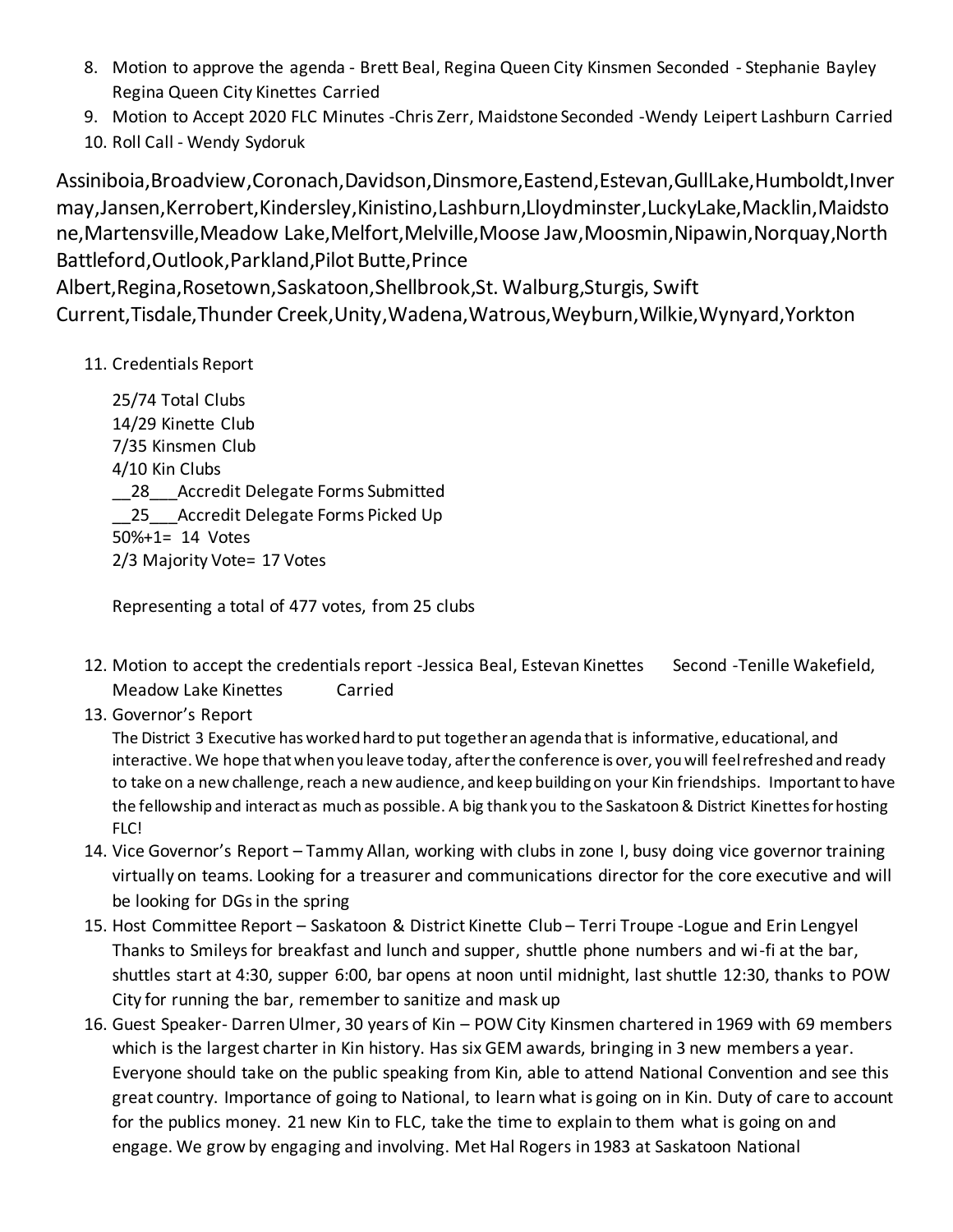- 8. Motion to approve the agenda Brett Beal, Regina Queen City Kinsmen Seconded Stephanie Bayley Regina Queen City Kinettes Carried
- 9. Motion to Accept 2020 FLC Minutes -Chris Zerr, Maidstone Seconded -Wendy Leipert Lashburn Carried
- 10. Roll Call Wendy Sydoruk

Assiniboia,Broadview,Coronach,Davidson,Dinsmore,Eastend,Estevan,GullLake,Humboldt,Inver may,Jansen,Kerrobert,Kindersley,Kinistino,Lashburn,Lloydminster,LuckyLake,Macklin,Maidsto ne,Martensville,Meadow Lake,Melfort,Melville,Moose Jaw,Moosmin,Nipawin,Norquay,North Battleford,Outlook,Parkland,Pilot Butte,Prince

Albert,Regina,Rosetown,Saskatoon,Shellbrook,St. Walburg,Sturgis, Swift Current,Tisdale,Thunder Creek,Unity,Wadena,Watrous,Weyburn,Wilkie,Wynyard,Yorkton

## 11. Credentials Report

25/74 Total Clubs 14/29 Kinette Club 7/35 Kinsmen Club 4/10 Kin Clubs \_\_28\_\_\_Accredit Delegate Forms Submitted 25 Accredit Delegate Forms Picked Up 50%+1= 14 Votes 2/3 Majority Vote= 17 Votes

Representing a total of 477 votes, from 25 clubs

- 12. Motion to accept the credentials report -Jessica Beal, Estevan Kinettes Second -Tenille Wakefield, Meadow Lake Kinettes Carried
- 13. Governor's Report

The District 3 Executive has worked hard to put together an agenda that is informative, educational, and interactive. We hope that when you leave today, after the conference is over, you will feel refreshed and ready to take on a new challenge, reach a new audience, and keep building on your Kin friendships. Important to have the fellowship and interact as much as possible. A big thank you to the Saskatoon & District Kinettes for hosting FLC!

- 14. Vice Governor's Report Tammy Allan, working with clubs in zone I, busy doing vice governor training virtually on teams. Looking for a treasurer and communications director for the core executive and will be looking for DGs in the spring
- 15. Host Committee Report Saskatoon & District Kinette Club Terri Troupe -Logue and Erin Lengyel Thanks to Smileys for breakfast and lunch and supper, shuttle phone numbers and wi-fi at the bar, shuttles start at 4:30, supper 6:00, bar opens at noon until midnight, last shuttle 12:30, thanks to POW City for running the bar, remember to sanitize and mask up
- 16. Guest Speaker- Darren Ulmer, 30 years of Kin POW City Kinsmen chartered in 1969 with 69 members which is the largest charter in Kin history. Has six GEM awards, bringing in 3 new members a year. Everyone should take on the public speaking from Kin, able to attend National Convention and see this great country. Importance of going to National, to learn what is going on in Kin. Duty of care to account for the publics money. 21 new Kin to FLC, take the time to explain to them what is going on and engage. We grow by engaging and involving. Met Hal Rogers in 1983 at Saskatoon National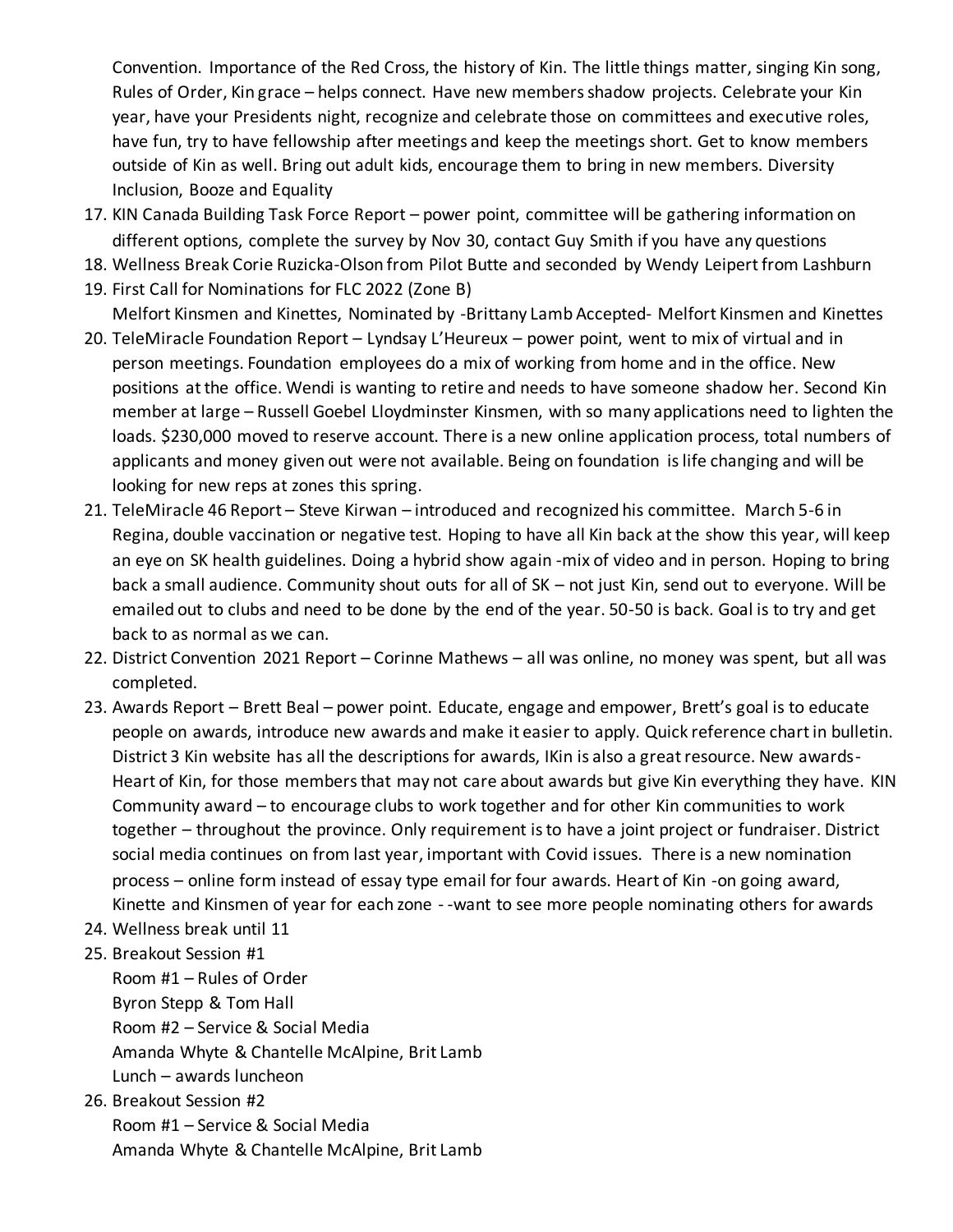Convention. Importance of the Red Cross, the history of Kin. The little things matter, singing Kin song, Rules of Order, Kin grace – helps connect. Have new members shadow projects. Celebrate your Kin year, have your Presidents night, recognize and celebrate those on committees and executive roles, have fun, try to have fellowship after meetings and keep the meetings short. Get to know members outside of Kin as well. Bring out adult kids, encourage them to bring in new members. Diversity Inclusion, Booze and Equality

- 17. KIN Canada Building Task Force Report power point, committee will be gathering information on different options, complete the survey by Nov 30, contact Guy Smith if you have any questions
- 18. Wellness Break Corie Ruzicka-Olson from Pilot Butte and seconded by Wendy Leipert from Lashburn
- 19. First Call for Nominations for FLC 2022 (Zone B) Melfort Kinsmen and Kinettes, Nominated by -Brittany Lamb Accepted- Melfort Kinsmen and Kinettes
- 20. TeleMiracle Foundation Report Lyndsay L'Heureux power point, went to mix of virtual and in person meetings. Foundation employees do a mix of working from home and in the office. New positions at the office. Wendi is wanting to retire and needs to have someone shadow her. Second Kin member at large – Russell Goebel Lloydminster Kinsmen, with so many applications need to lighten the loads. \$230,000 moved to reserve account. There is a new online application process, total numbers of applicants and money given out were not available. Being on foundation is life changing and will be looking for new reps at zones this spring.
- 21. TeleMiracle 46 Report Steve Kirwan introduced and recognized his committee. March 5-6 in Regina, double vaccination or negative test. Hoping to have all Kin back at the show this year, will keep an eye on SK health guidelines. Doing a hybrid show again -mix of video and in person. Hoping to bring back a small audience. Community shout outs for all of SK – not just Kin, send out to everyone. Will be emailed out to clubs and need to be done by the end of the year. 50-50 is back. Goal is to try and get back to as normal as we can.
- 22. District Convention 2021 Report Corinne Mathews all was online, no money was spent, but all was completed.
- 23. Awards Report Brett Beal power point. Educate, engage and empower, Brett's goal is to educate people on awards, introduce new awards and make it easier to apply. Quick reference chart in bulletin. District 3 Kin website has all the descriptions for awards, IKin is also a great resource. New awards-Heart of Kin, for those members that may not care about awards but give Kin everything they have. KIN Community award – to encourage clubs to work together and for other Kin communities to work together – throughout the province. Only requirement is to have a joint project or fundraiser. District social media continues on from last year, important with Covid issues. There is a new nomination process – online form instead of essay type email for four awards. Heart of Kin -on going award, Kinette and Kinsmen of year for each zone - -want to see more people nominating others for awards
- 24. Wellness break until 11
- 25. Breakout Session #1

Room #1 – Rules of Order Byron Stepp & Tom Hall Room #2 – Service & Social Media Amanda Whyte & Chantelle McAlpine, Brit Lamb Lunch – awards luncheon

26. Breakout Session #2

Room #1 – Service & Social Media Amanda Whyte & Chantelle McAlpine, Brit Lamb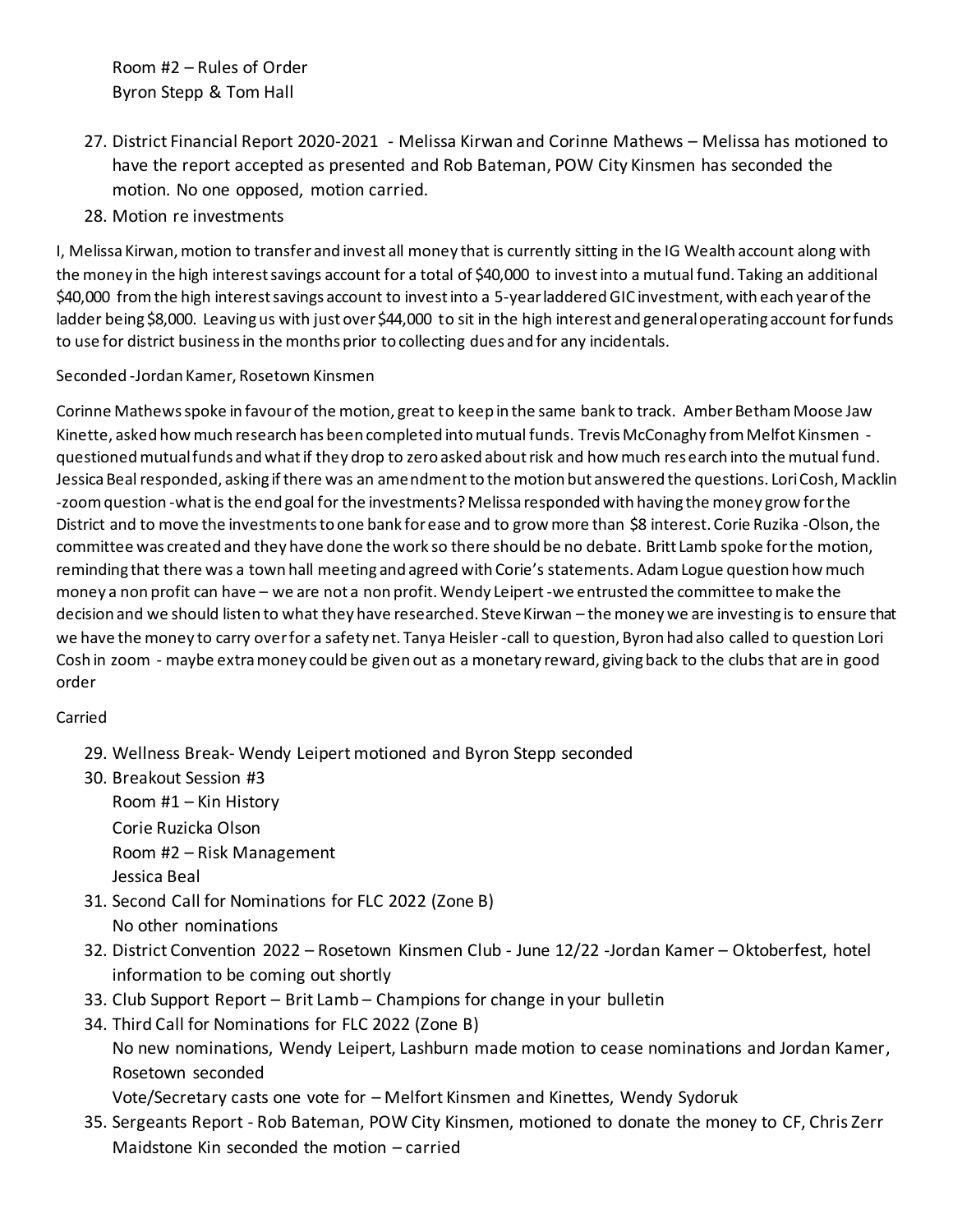Room #2 – Rules of Order Byron Stepp & Tom Hall

- 27. District Financial Report 2020-2021 Melissa Kirwan and Corinne Mathews Melissa has motioned to have the report accepted as presented and Rob Bateman, POW City Kinsmen has seconded the motion. No one opposed, motion carried.
- 28. Motion re investments

I, Melissa Kirwan, motion to transfer and invest all money that is currently sitting in the IG Wealth account along with the money in the high interest savings account for a total of \$40,000 to invest into a mutual fund. Taking an additional \$40,000 from the high interest savings account to invest into a 5-year laddered GIC investment, with each year of the ladder being \$8,000. Leaving us with just over \$44,000 to sit in the high interest and general operating account for funds to use for district business in the months prior to collecting dues and for any incidentals.

## Seconded -Jordan Kamer, Rosetown Kinsmen

Corinne Mathews spoke in favour of the motion, great to keep in the same bank to track. Amber Betham Moose Jaw Kinette, asked how much research has been completed into mutual funds. Trevis McConaghy from Melfot Kinsmen questioned mutual funds and what if they drop to zero asked about risk and how much research into the mutual fund. Jessica Beal responded, asking if there was an amendment to the motion but answered the questions. Lori Cosh, Macklin -zoom question -what is the end goal for the investments? Melissa responded with having the money grow for the District and to move the investments to one bank for ease and to grow more than \$8 interest. Corie Ruzika -Olson, the committee was created and they have done the work so there should be no debate. Britt Lamb spoke for the motion, reminding that there was a town hall meeting and agreed with Corie's statements. Adam Logue question how much money a non profit can have – we are not a non profit. Wendy Leipert -we entrusted the committee to make the decision and we should listen to what they have researched. Steve Kirwan – the money we are investing is to ensure that we have the money to carry over for a safety net. Tanya Heisler -call to question, Byron had also called to question Lori Cosh in zoom - maybe extra money could be given out as a monetary reward, giving back to the clubs that are in good order

## Carried

- 29. Wellness Break- Wendy Leipert motioned and Byron Stepp seconded
- 30. Breakout Session #3

Room #1 – Kin History Corie Ruzicka Olson Room #2 – Risk Management Jessica Beal

- 31. Second Call for Nominations for FLC 2022 (Zone B) No other nominations
- 32. District Convention 2022 Rosetown Kinsmen Club June 12/22 -Jordan Kamer Oktoberfest, hotel information to be coming out shortly
- 33. Club Support Report Brit Lamb Champions for change in your bulletin
- 34. Third Call for Nominations for FLC 2022 (Zone B) No new nominations, Wendy Leipert, Lashburn made motion to cease nominations and Jordan Kamer, Rosetown seconded

Vote/Secretary casts one vote for – Melfort Kinsmen and Kinettes, Wendy Sydoruk

35. Sergeants Report - Rob Bateman, POW City Kinsmen, motioned to donate the money to CF, Chris Zerr Maidstone Kin seconded the motion – carried